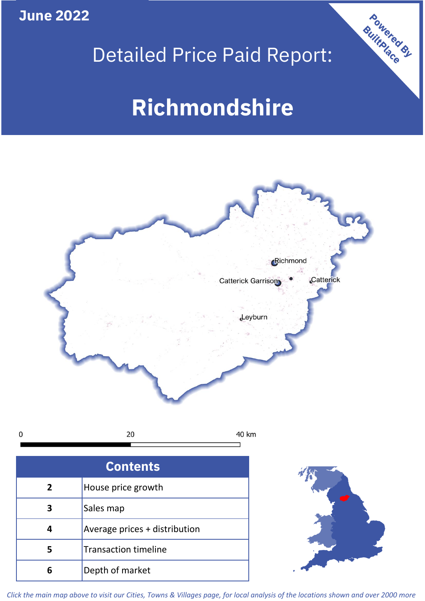**June 2022**

**5**

Transaction timeline

**6** Depth of market



Powered By

# **Richmondshire**



*Click the main map above to visit our Cities, Towns & Villages page, for local analysis of the locations shown and over 2000 more*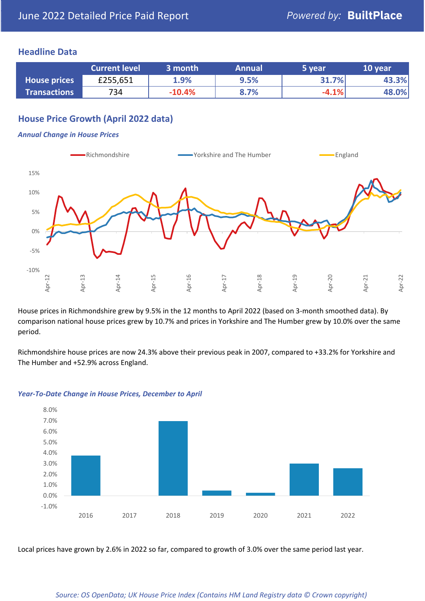## **Headline Data**

|                     | <b>Current level</b> | 3 month  | <b>Annual</b> | 5 year  | 10 year |
|---------------------|----------------------|----------|---------------|---------|---------|
| <b>House prices</b> | £255,651             | 1.9%     | 9.5%          | 31.7%   | 43.3%   |
| <b>Transactions</b> | 734                  | $-10.4%$ | 8.7%          | $-4.1%$ | 48.0%   |

# **House Price Growth (April 2022 data)**

#### *Annual Change in House Prices*



House prices in Richmondshire grew by 9.5% in the 12 months to April 2022 (based on 3-month smoothed data). By comparison national house prices grew by 10.7% and prices in Yorkshire and The Humber grew by 10.0% over the same period.

Richmondshire house prices are now 24.3% above their previous peak in 2007, compared to +33.2% for Yorkshire and The Humber and +52.9% across England.



#### *Year-To-Date Change in House Prices, December to April*

Local prices have grown by 2.6% in 2022 so far, compared to growth of 3.0% over the same period last year.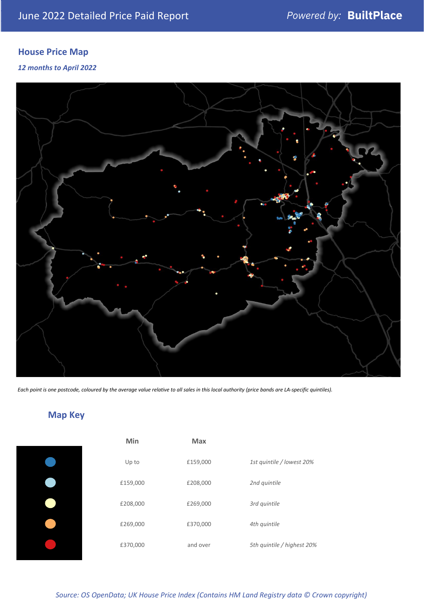# **House Price Map**

#### *12 months to April 2022*



*Each point is one postcode, coloured by the average value relative to all sales in this local authority (price bands are LA-specific quintiles).*

**Map Key**

| Min      | <b>Max</b> |                            |
|----------|------------|----------------------------|
| Up to    | £159,000   | 1st quintile / lowest 20%  |
| £159,000 | £208,000   | 2nd quintile               |
| £208,000 | £269,000   | 3rd quintile               |
| £269,000 | £370,000   | 4th quintile               |
| £370,000 | and over   | 5th quintile / highest 20% |

#### *Source: OS OpenData; UK House Price Index (Contains HM Land Registry data © Crown copyright)*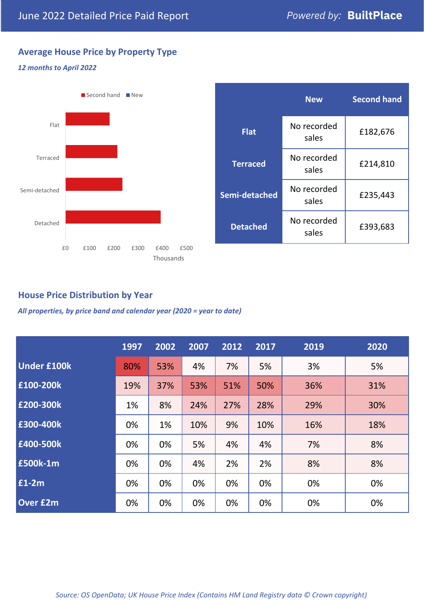# **Average House Price by Property Type**

#### *12 months to April 2022*



|                 | <b>New</b>           | <b>Second hand</b> |  |
|-----------------|----------------------|--------------------|--|
| <b>Flat</b>     | No recorded<br>sales | £182,676           |  |
| <b>Terraced</b> | No recorded<br>sales | £214,810           |  |
| Semi-detached   | No recorded<br>sales | £235,443           |  |
| <b>Detached</b> | No recorded<br>sales | £393,683           |  |

# **House Price Distribution by Year**

*All properties, by price band and calendar year (2020 = year to date)*

|                    | 1997 | 2002 | 2007 | 2012 | 2017 | 2019 | 2020 |
|--------------------|------|------|------|------|------|------|------|
| <b>Under £100k</b> | 80%  | 53%  | 4%   | 7%   | 5%   | 3%   | 5%   |
| £100-200k          | 19%  | 37%  | 53%  | 51%  | 50%  | 36%  | 31%  |
| E200-300k          | 1%   | 8%   | 24%  | 27%  | 28%  | 29%  | 30%  |
| £300-400k          | 0%   | 1%   | 10%  | 9%   | 10%  | 16%  | 18%  |
| £400-500k          | 0%   | 0%   | 5%   | 4%   | 4%   | 7%   | 8%   |
| <b>£500k-1m</b>    | 0%   | 0%   | 4%   | 2%   | 2%   | 8%   | 8%   |
| £1-2m              | 0%   | 0%   | 0%   | 0%   | 0%   | 0%   | 0%   |
| <b>Over £2m</b>    | 0%   | 0%   | 0%   | 0%   | 0%   | 0%   | 0%   |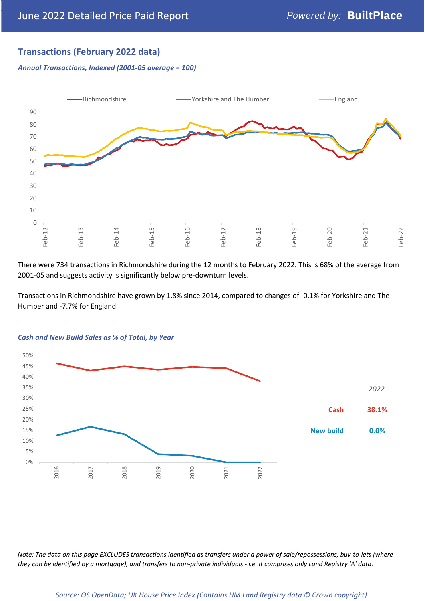# **Transactions (February 2022 data)**

*Annual Transactions, Indexed (2001-05 average = 100)*



There were 734 transactions in Richmondshire during the 12 months to February 2022. This is 68% of the average from 2001-05 and suggests activity is significantly below pre-downturn levels.

Transactions in Richmondshire have grown by 1.8% since 2014, compared to changes of -0.1% for Yorkshire and The Humber and -7.7% for England.



#### *Cash and New Build Sales as % of Total, by Year*

*Note: The data on this page EXCLUDES transactions identified as transfers under a power of sale/repossessions, buy-to-lets (where they can be identified by a mortgage), and transfers to non-private individuals - i.e. it comprises only Land Registry 'A' data.*